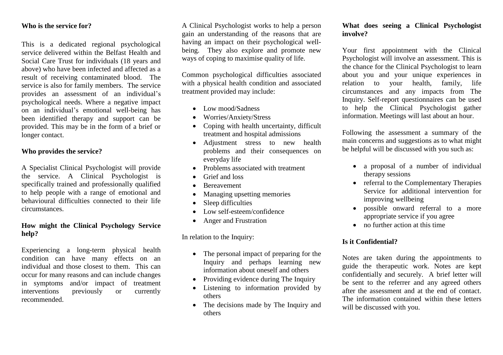## **Who is the service for?**

This is a dedicated regional psychological service delivered within the Belfast Health and Social Care Trust for individuals (18 years and above) who have been infected and affected as a result of receiving contaminated blood. The service is also for family members. The service provides an assessment of an individual's psychological needs. Where a negative impact on an individual's emotional well-being has been identified therapy and support can be provided. This may be in the form of a brief or longer contact.

## **Who provides the service?**

A Specialist Clinical Psychologist will provide the service. A Clinical Psychologist is specifically trained and professionally qualified to help people with a range of emotional and behavioural difficulties connected to their life circumstances.

## **How might the Clinical Psychology Service help?**

Experiencing a long-term physical health condition can have many effects on an individual and those closest to them. This can occur for many reasons and can include changes in symptoms and/or impact of treatment interventions previously or currently recommended.

A Clinical Psychologist works to help a person gain an understanding of the reasons that are having an impact on their psychological wellbeing. They also explore and promote new ways of coping to maximise quality of life.

Common psychological difficulties associated with a physical health condition and associated treatment provided may include:

- Low mood/Sadness
- Worries/Anxiety/Stress
- Coping with health uncertainty, difficult treatment and hospital admissions
- Adjustment stress to new health problems and their consequences on everyday life
- Problems associated with treatment
- Grief and loss
- Bereavement
- Managing upsetting memories
- Sleep difficulties
- Low self-esteem/confidence
- Anger and Frustration

In relation to the Inquiry:

- The personal impact of preparing for the Inquiry and perhaps learning new information about oneself and others
- Providing evidence during The Inquiry
- Listening to information provided by others
- The decisions made by The Inquiry and others

## **What does seeing a Clinical Psychologist involve?**

Your first appointment with the Clinical Psychologist will involve an assessment. This is the chance for the Clinical Psychologist to learn about you and your unique experiences in relation to your health, family, life circumstances and any impacts from The Inquiry. Self-report questionnaires can be used to help the Clinical Psychologist gather information. Meetings will last about an hour.

Following the assessment a summary of the main concerns and suggestions as to what might be helpful will be discussed with you such as:

- a proposal of a number of individual therapy sessions
- referral to the Complementary Therapies Service for additional intervention for improving wellbeing
- possible onward referral to a more appropriate service if you agree
- no further action at this time

# **Is it Confidential?**

Notes are taken during the appointments to guide the therapeutic work. Notes are kept confidentially and securely. A brief letter will be sent to the referrer and any agreed others after the assessment and at the end of contact. The information contained within these letters will be discussed with you.